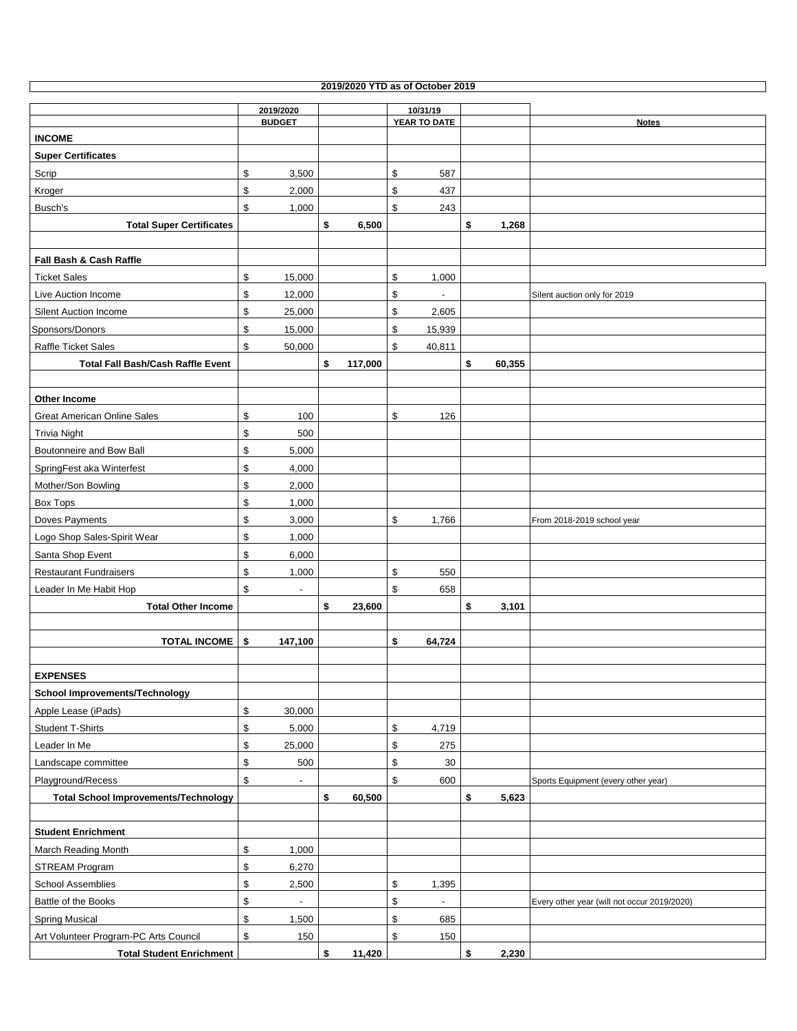| 2019/2020 YTD as of October 2019 |
|----------------------------------|
|                                  |

 $\Box$ 

|                                                     | 2019/2020                        |               | 10/31/19                       |              |                                             |
|-----------------------------------------------------|----------------------------------|---------------|--------------------------------|--------------|---------------------------------------------|
|                                                     | <b>BUDGET</b>                    |               | YEAR TO DATE                   |              | <b>Notes</b>                                |
| <b>INCOME</b>                                       |                                  |               |                                |              |                                             |
| <b>Super Certificates</b>                           |                                  |               |                                |              |                                             |
| Scrip                                               | \$<br>3,500                      |               | \$<br>587                      |              |                                             |
| Kroger                                              | \$<br>2,000                      |               | \$<br>437                      |              |                                             |
| Busch's                                             | \$<br>1,000                      |               | \$<br>243                      |              |                                             |
| <b>Total Super Certificates</b>                     |                                  | \$<br>6,500   |                                | \$<br>1,268  |                                             |
|                                                     |                                  |               |                                |              |                                             |
| Fall Bash & Cash Raffle                             |                                  |               |                                |              |                                             |
| <b>Ticket Sales</b>                                 | \$<br>15,000                     |               | \$<br>1,000                    |              |                                             |
| Live Auction Income                                 | \$<br>12,000                     |               | \$                             |              | Silent auction only for 2019                |
| <b>Silent Auction Income</b>                        | $\,$<br>25,000                   |               | \$<br>2,605                    |              |                                             |
| Sponsors/Donors                                     | \$<br>15,000                     |               | \$<br>15,939                   |              |                                             |
| <b>Raffle Ticket Sales</b>                          | \$<br>50,000                     |               | \$<br>40,811                   |              |                                             |
| <b>Total Fall Bash/Cash Raffle Event</b>            |                                  | \$<br>117,000 |                                | \$<br>60,355 |                                             |
|                                                     |                                  |               |                                |              |                                             |
| Other Income                                        |                                  |               |                                |              |                                             |
| <b>Great American Online Sales</b>                  | \$<br>100                        |               | \$<br>126                      |              |                                             |
| <b>Trivia Night</b>                                 | \$<br>500                        |               |                                |              |                                             |
| Boutonneire and Bow Ball                            | $\,$<br>5,000                    |               |                                |              |                                             |
| SpringFest aka Winterfest                           | $\,$<br>4,000                    |               |                                |              |                                             |
| Mother/Son Bowling                                  | \$<br>2,000                      |               |                                |              |                                             |
| Box Tops                                            | \$<br>1,000                      |               |                                |              |                                             |
| Doves Payments                                      | \$<br>3,000                      |               | \$<br>1,766                    |              | From 2018-2019 school year                  |
| Logo Shop Sales-Spirit Wear                         | \$<br>1,000                      |               |                                |              |                                             |
| Santa Shop Event                                    | \$<br>6,000                      |               |                                |              |                                             |
| <b>Restaurant Fundraisers</b>                       | \$<br>1,000                      |               | \$<br>550                      |              |                                             |
|                                                     | \$                               |               | \$<br>658                      |              |                                             |
| Leader In Me Habit Hop<br><b>Total Other Income</b> |                                  | \$<br>23,600  |                                | \$<br>3,101  |                                             |
|                                                     |                                  |               |                                |              |                                             |
| <b>TOTAL INCOME</b>                                 | 147,100                          |               | \$                             |              |                                             |
|                                                     | \$                               |               | 64,724                         |              |                                             |
|                                                     |                                  |               |                                |              |                                             |
| <b>EXPENSES</b>                                     |                                  |               |                                |              |                                             |
| <b>School Improvements/Technology</b>               |                                  |               |                                |              |                                             |
| Apple Lease (iPads)                                 | \$<br>30,000                     |               |                                |              |                                             |
| Student T-Shirts                                    | \$<br>5,000                      |               | \$<br>4,719                    |              |                                             |
| Leader In Me                                        | \$<br>25,000                     |               | \$<br>275                      |              |                                             |
| Landscape committee                                 | \$<br>500                        |               | \$<br>30                       |              |                                             |
| Playground/Recess                                   | \$<br>$\overline{\phantom{m}}$   |               | \$<br>600                      |              | Sports Equipment (every other year)         |
| <b>Total School Improvements/Technology</b>         |                                  | \$<br>60,500  |                                | \$<br>5,623  |                                             |
|                                                     |                                  |               |                                |              |                                             |
| <b>Student Enrichment</b>                           |                                  |               |                                |              |                                             |
| March Reading Month                                 | \$<br>1,000                      |               |                                |              |                                             |
| STREAM Program                                      | \$<br>6,270                      |               |                                |              |                                             |
| <b>School Assemblies</b>                            | \$<br>2,500                      |               | \$<br>1,395                    |              |                                             |
| Battle of the Books                                 | $\,$<br>$\overline{\phantom{a}}$ |               | \$<br>$\overline{\phantom{a}}$ |              | Every other year (will not occur 2019/2020) |
| <b>Spring Musical</b>                               | \$<br>1,500                      |               | \$<br>685                      |              |                                             |
| Art Volunteer Program-PC Arts Council               | \$<br>150                        |               | \$<br>150                      |              |                                             |
| <b>Total Student Enrichment</b>                     |                                  | \$<br>11,420  |                                | \$<br>2,230  |                                             |